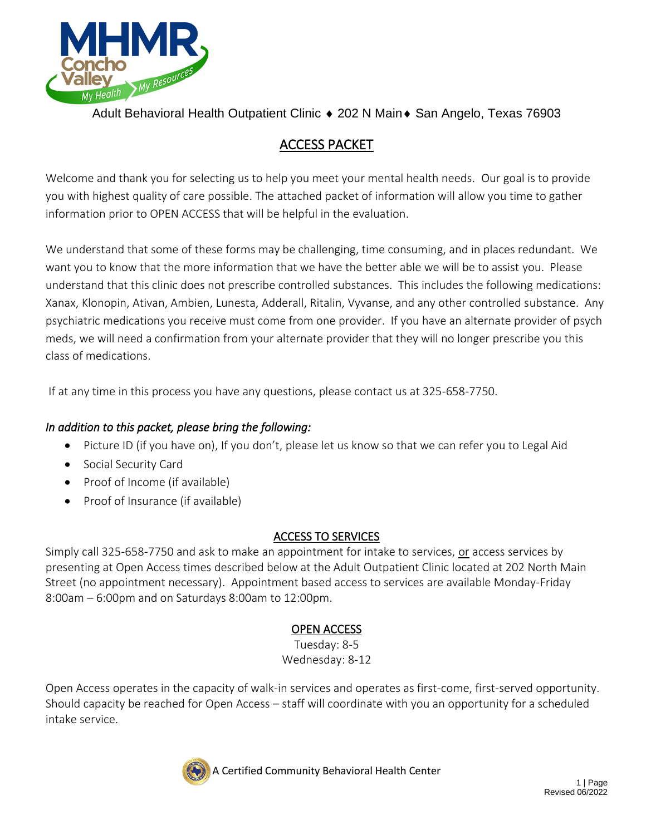

Adult Behavioral Health Outpatient Clinic ♦ 202 N Main ♦ San Angelo, Texas 76903

# ACCESS PACKET

Welcome and thank you for selecting us to help you meet your mental health needs. Our goal is to provide you with highest quality of care possible. The attached packet of information will allow you time to gather information prior to OPEN ACCESS that will be helpful in the evaluation.

We understand that some of these forms may be challenging, time consuming, and in places redundant. We want you to know that the more information that we have the better able we will be to assist you. Please understand that this clinic does not prescribe controlled substances. This includes the following medications: Xanax, Klonopin, Ativan, Ambien, Lunesta, Adderall, Ritalin, Vyvanse, and any other controlled substance. Any psychiatric medications you receive must come from one provider. If you have an alternate provider of psych meds, we will need a confirmation from your alternate provider that they will no longer prescribe you this class of medications.

If at any time in this process you have any questions, please contact us at 325-658-7750.

### *In addition to this packet, please bring the following:*

- Picture ID (if you have on), If you don't, please let us know so that we can refer you to Legal Aid
- Social Security Card
- Proof of Income (if available)
- Proof of Insurance (if available)

### ACCESS TO SERVICES

Simply call 325-658-7750 and ask to make an appointment for intake to services, or access services by presenting at Open Access times described below at the Adult Outpatient Clinic located at 202 North Main Street (no appointment necessary). Appointment based access to services are available Monday-Friday 8:00am – 6:00pm and on Saturdays 8:00am to 12:00pm.

## OPEN ACCESS

Tuesday: 8-5 Wednesday: 8-12

Open Access operates in the capacity of walk-in services and operates as first-come, first-served opportunity. Should capacity be reached for Open Access – staff will coordinate with you an opportunity for a scheduled intake service.



A Certified Community Behavioral Health Center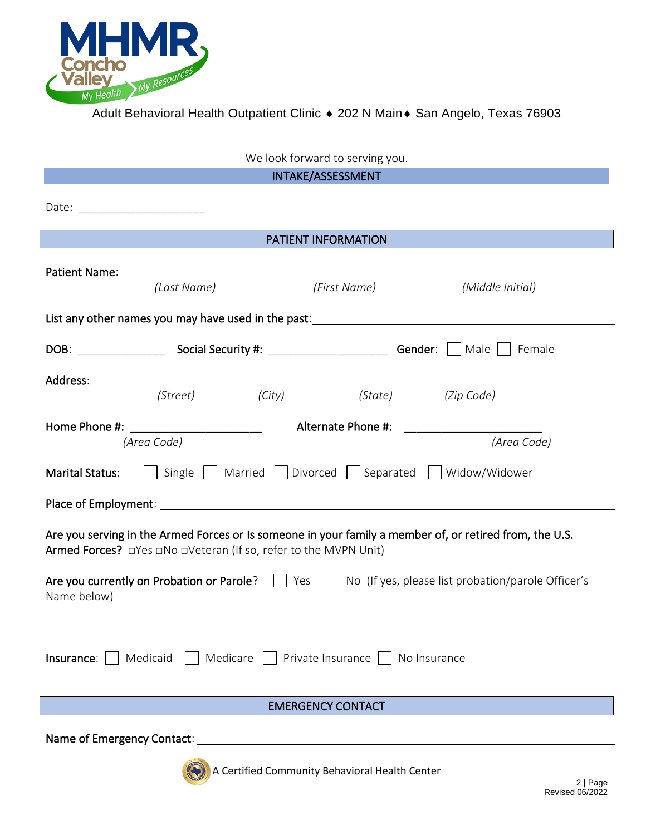

| We look forward to serving you.                                                                                                                                                                                                                                                        |  |  |  |  |  |  |
|----------------------------------------------------------------------------------------------------------------------------------------------------------------------------------------------------------------------------------------------------------------------------------------|--|--|--|--|--|--|
| INTAKE/ASSESSMENT                                                                                                                                                                                                                                                                      |  |  |  |  |  |  |
| Date: ________________________                                                                                                                                                                                                                                                         |  |  |  |  |  |  |
| PATIENT INFORMATION                                                                                                                                                                                                                                                                    |  |  |  |  |  |  |
| <b>Patient Name:</b> The Contract of the Contract of the Contract of the Contract of the Contract of the Contract of the Contract of the Contract of the Contract of the Contract of the Contract of the Contract of the Contract o<br>(First Name)<br>(Last Name)<br>(Middle Initial) |  |  |  |  |  |  |
|                                                                                                                                                                                                                                                                                        |  |  |  |  |  |  |
| List any other names you may have used in the past:                                                                                                                                                                                                                                    |  |  |  |  |  |  |
|                                                                                                                                                                                                                                                                                        |  |  |  |  |  |  |
|                                                                                                                                                                                                                                                                                        |  |  |  |  |  |  |
|                                                                                                                                                                                                                                                                                        |  |  |  |  |  |  |
| (Street)<br>(City)<br>(State)<br>(Zip Code)                                                                                                                                                                                                                                            |  |  |  |  |  |  |
| Alternate Phone #:<br>Home Phone #: ______________________<br><u> 1970 - Jan Barnett, politik e</u>                                                                                                                                                                                    |  |  |  |  |  |  |
| (Area Code)<br>(Area Code)                                                                                                                                                                                                                                                             |  |  |  |  |  |  |
| Single     Married     Divorced     Separated     Widow/Widower<br><b>Marital Status:</b>                                                                                                                                                                                              |  |  |  |  |  |  |
|                                                                                                                                                                                                                                                                                        |  |  |  |  |  |  |
| Are you serving in the Armed Forces or Is someone in your family a member of, or retired from, the U.S.<br>Armed Forces? □ Yes □ No □ Veteran (If so, refer to the MVPN Unit)                                                                                                          |  |  |  |  |  |  |
| Are you currently on Probation or Parole?     Yes     No (If yes, please list probation/parole Officer's<br>Name below)                                                                                                                                                                |  |  |  |  |  |  |
| <b>Insurance</b> :     Medicaid     Medicare     Private Insurance     No Insurance                                                                                                                                                                                                    |  |  |  |  |  |  |
| <b>EMERGENCY CONTACT</b>                                                                                                                                                                                                                                                               |  |  |  |  |  |  |
| Name of Emergency Contact:                                                                                                                                                                                                                                                             |  |  |  |  |  |  |



A Certified Community Behavioral Health Center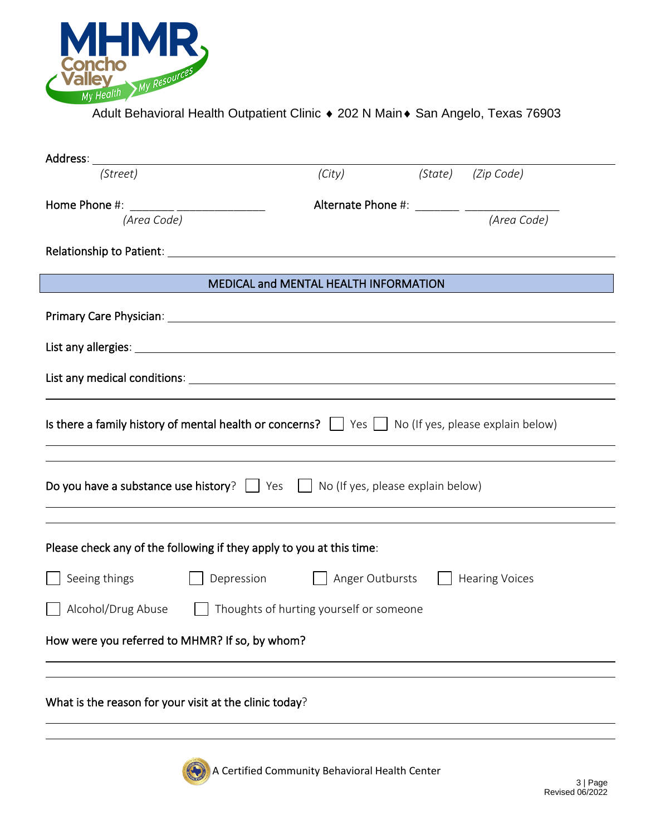

ı

Adult Behavioral Health Outpatient Clinic • 202 N Main • San Angelo, Texas 76903

| Address:                                                                                                                  |            |                                         |         |                       |
|---------------------------------------------------------------------------------------------------------------------------|------------|-----------------------------------------|---------|-----------------------|
| (Street)                                                                                                                  |            | (City)                                  | (State) | (Zip Code)            |
| Home Phone #: _______ _________________                                                                                   |            |                                         |         |                       |
| (Area Code)                                                                                                               |            |                                         |         | (Area Code)           |
|                                                                                                                           |            |                                         |         |                       |
|                                                                                                                           |            | MEDICAL and MENTAL HEALTH INFORMATION   |         |                       |
|                                                                                                                           |            |                                         |         |                       |
|                                                                                                                           |            |                                         |         |                       |
|                                                                                                                           |            |                                         |         |                       |
| Is there a family history of mental health or concerns? $\vert \vert$ Yes $\vert \vert$ No (If yes, please explain below) |            |                                         |         |                       |
| Do you have a substance use history? $\Box$ Yes $\Box$ No (If yes, please explain below)                                  |            |                                         |         |                       |
| Please check any of the following if they apply to you at this time:                                                      |            |                                         |         |                       |
| Seeing things                                                                                                             | Depression | Anger Outbursts                         |         | <b>Hearing Voices</b> |
| Alcohol/Drug Abuse                                                                                                        |            | Thoughts of hurting yourself or someone |         |                       |
| How were you referred to MHMR? If so, by whom?                                                                            |            |                                         |         |                       |
|                                                                                                                           |            |                                         |         |                       |
| What is the reason for your visit at the clinic today?                                                                    |            |                                         |         |                       |



A Certified Community Behavioral Health Center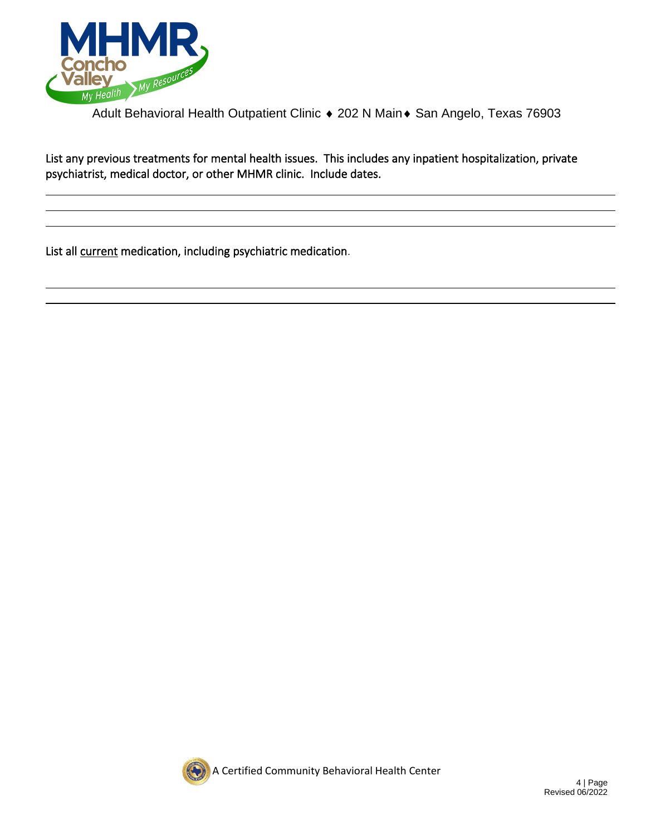

Adult Behavioral Health Outpatient Clinic • 202 N Main • San Angelo, Texas 76903

List any previous treatments for mental health issues. This includes any inpatient hospitalization, private psychiatrist, medical doctor, or other MHMR clinic. Include dates.

List all current medication, including psychiatric medication.

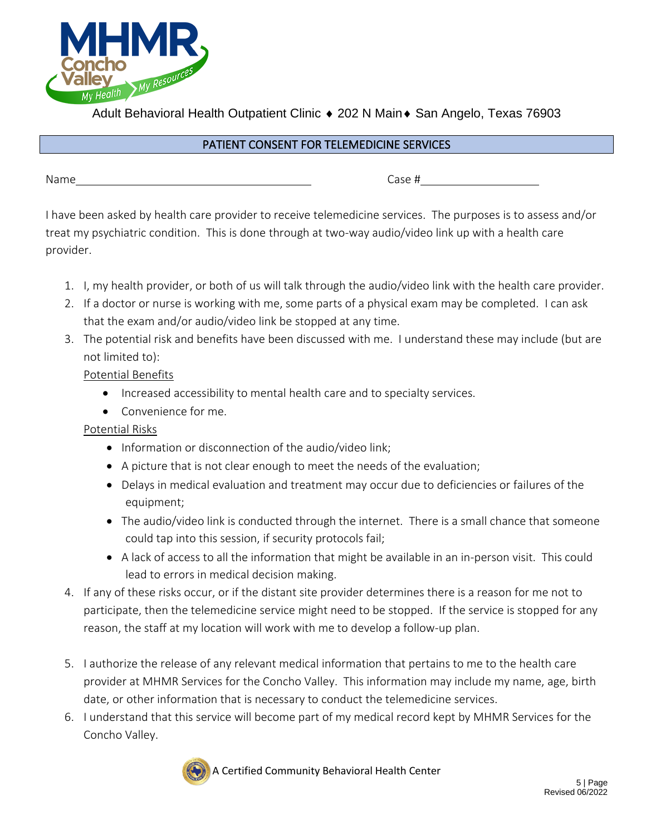

Adult Behavioral Health Outpatient Clinic ♦ 202 N Main ♦ San Angelo, Texas 76903

#### PATIENT CONSENT FOR TELEMEDICINE SERVICES

Name Case #

I have been asked by health care provider to receive telemedicine services. The purposes is to assess and/or treat my psychiatric condition. This is done through at two-way audio/video link up with a health care provider.

- 1. I, my health provider, or both of us will talk through the audio/video link with the health care provider.
- 2. If a doctor or nurse is working with me, some parts of a physical exam may be completed. I can ask that the exam and/or audio/video link be stopped at any time.
- 3. The potential risk and benefits have been discussed with me. I understand these may include (but are not limited to):

Potential Benefits

- Increased accessibility to mental health care and to specialty services.
- Convenience for me.

Potential Risks

- Information or disconnection of the audio/video link;
- A picture that is not clear enough to meet the needs of the evaluation;
- Delays in medical evaluation and treatment may occur due to deficiencies or failures of the equipment;
- The audio/video link is conducted through the internet. There is a small chance that someone could tap into this session, if security protocols fail;
- A lack of access to all the information that might be available in an in-person visit. This could lead to errors in medical decision making.
- 4. If any of these risks occur, or if the distant site provider determines there is a reason for me not to participate, then the telemedicine service might need to be stopped. If the service is stopped for any reason, the staff at my location will work with me to develop a follow-up plan.
- 5. I authorize the release of any relevant medical information that pertains to me to the health care provider at MHMR Services for the Concho Valley. This information may include my name, age, birth date, or other information that is necessary to conduct the telemedicine services.
- 6. I understand that this service will become part of my medical record kept by MHMR Services for the Concho Valley.

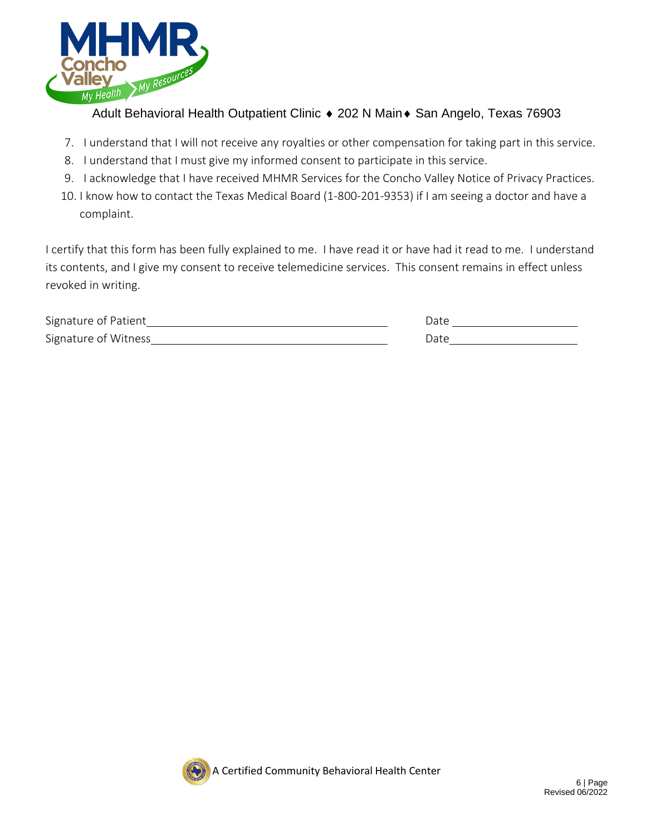

Adult Behavioral Health Outpatient Clinic  $\triangle$  202 N Main  $\triangle$  San Angelo, Texas 76903

- 7. I understand that I will not receive any royalties or other compensation for taking part in this service.
- 8. I understand that I must give my informed consent to participate in this service.
- 9. I acknowledge that I have received MHMR Services for the Concho Valley Notice of Privacy Practices.
- 10. I know how to contact the Texas Medical Board (1-800-201-9353) if I am seeing a doctor and have a complaint.

I certify that this form has been fully explained to me. I have read it or have had it read to me. I understand its contents, and I give my consent to receive telemedicine services. This consent remains in effect unless revoked in writing.

| Signature of Patient | Date |
|----------------------|------|
| Signature of Witness | )ate |

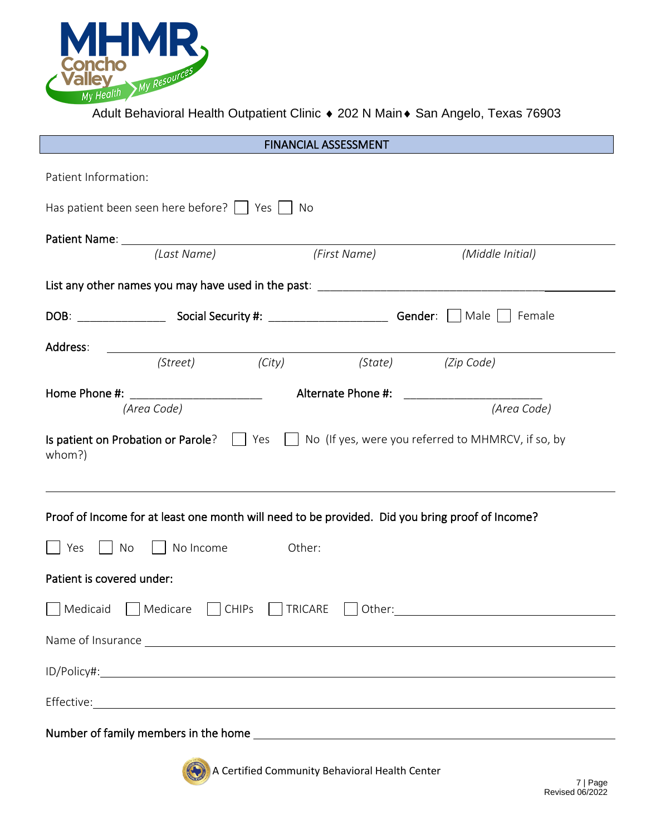

Adult Behavioral Health Outpatient Clinic  $\bullet$  202 N Main  $\bullet$  San Angelo, Texas 76903

| <b>FINANCIAL ASSESSMENT</b>                                                                                                                                                                                                          |  |  |  |  |  |  |  |
|--------------------------------------------------------------------------------------------------------------------------------------------------------------------------------------------------------------------------------------|--|--|--|--|--|--|--|
| Patient Information:                                                                                                                                                                                                                 |  |  |  |  |  |  |  |
| Has patient been seen here before? $\vert$ $\vert$ Yes $\vert$ $\vert$ No                                                                                                                                                            |  |  |  |  |  |  |  |
| (Last Name)<br>(First Name)<br>(Middle Initial)                                                                                                                                                                                      |  |  |  |  |  |  |  |
|                                                                                                                                                                                                                                      |  |  |  |  |  |  |  |
|                                                                                                                                                                                                                                      |  |  |  |  |  |  |  |
| Address:<br>(Street) (City)                                                                                                                                                                                                          |  |  |  |  |  |  |  |
| (State) (Zip Code)                                                                                                                                                                                                                   |  |  |  |  |  |  |  |
| Home Phone #: _______________________<br>Alternate Phone #:<br>(Area Code)<br>(Area Code)                                                                                                                                            |  |  |  |  |  |  |  |
| Is patient on Probation or Parole? $\Box$ Yes $\Box$ No (If yes, were you referred to MHMRCV, if so, by<br>whom?)                                                                                                                    |  |  |  |  |  |  |  |
| Proof of Income for at least one month will need to be provided. Did you bring proof of Income?                                                                                                                                      |  |  |  |  |  |  |  |
| $\vert \vert$ No Income<br>Other:<br>$\vert$ No<br>Yes                                                                                                                                                                               |  |  |  |  |  |  |  |
| Patient is covered under:                                                                                                                                                                                                            |  |  |  |  |  |  |  |
| Medicaid Medicare CCHIPs TRICARE Other: Medicaid Medicaid Medicare CCHIPs TRICARE Other:                                                                                                                                             |  |  |  |  |  |  |  |
| Name of Insurance <u>example and the second contract of the second contract of the second contract of the second contract of the second contract of the second contract of the second contract of the second contract of the sec</u> |  |  |  |  |  |  |  |
|                                                                                                                                                                                                                                      |  |  |  |  |  |  |  |
|                                                                                                                                                                                                                                      |  |  |  |  |  |  |  |
|                                                                                                                                                                                                                                      |  |  |  |  |  |  |  |